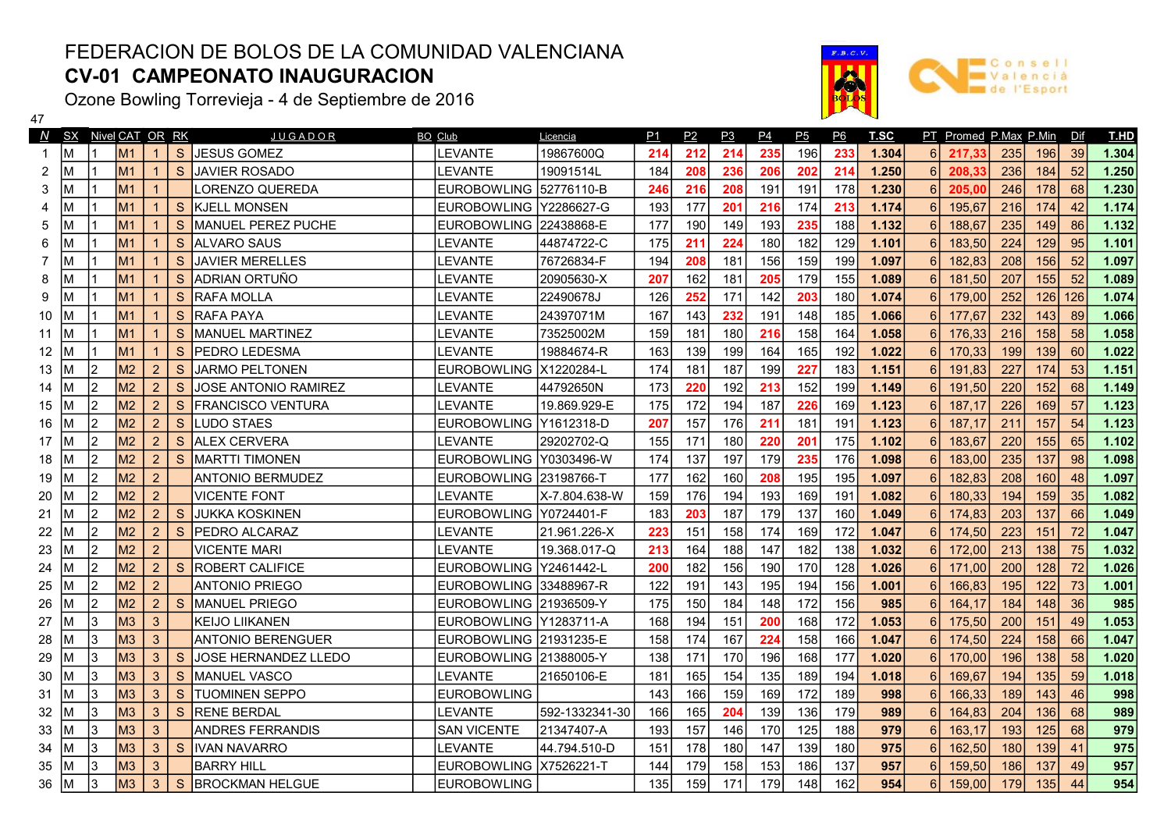## FEDERACION DE BOLOS DE LA COMUNIDAD VALENCIANA CV-01 CAMPEONATO INAUGURACION

Ozone Bowling Torrevieja - 4 de Septiembre de 2016

 $\frac{47}{2}$ 

|    |    |                | N SX Nivel CAT OR RK |                |              | <u>JUGADOR</u>           | BO Club                 | Licencia       | <u>P1</u> | P2  | <u>P3</u> | P <sub>4</sub> | <u>P5</u> | <u>P6</u> | T.SC  |                | PT Promed P.Max P.Min Dif |     |     |     | T.HD  |
|----|----|----------------|----------------------|----------------|--------------|--------------------------|-------------------------|----------------|-----------|-----|-----------|----------------|-----------|-----------|-------|----------------|---------------------------|-----|-----|-----|-------|
|    | М  |                | <b>M1</b>            |                | S.           | JESUS GOMEZ              | <b>LEVANTE</b>          | 19867600Q      | 214       | 212 | 214       | 235            | 196       | 233       | 1.304 | 6              | 217.33                    | 235 | 196 | 39  | 1.304 |
| 2  | М  |                | M <sub>1</sub>       |                | S.           | <b>JAVIER ROSADO</b>     | <b>LEVANTE</b>          | 19091514L      | 184       | 208 | 236       | 206            | 202       | 214       | 1.250 | 6              | 208,33                    | 236 | 184 | 52  | 1.250 |
| 3  |    |                | M <sub>1</sub>       |                |              | LORENZO QUEREDA          | EUROBOWLING 52776110-B  |                | 246       | 216 | 208       | 191            | 191       | 178       | 1.230 | 6              | 205,00                    | 246 | 178 | 68  | 1.230 |
|    |    |                | M1                   | $\overline{1}$ | S.           | KJELL MONSEN             | EUROBOWLING Y2286627-G  |                | 193       | 177 | 201       | 216            | 174       | 213       | 1.174 | 6              | 195,67                    | 216 | 174 | 42  | 1.174 |
| 5  |    |                | M1                   |                | S.           | MANUEL PEREZ PUCHE       | EUROBOWLING 22438868-E  |                | 177       | 190 | 149       | 193            | 235       | 188       | 1.132 | 6              | 188,67                    | 235 | 149 | 86  | 1.132 |
| 6  |    |                | M <sub>1</sub>       |                | S.           | <b>ALVARO SAUS</b>       | <b>LEVANTE</b>          | 44874722-C     | 175       | 211 | 224       | 180            | 182       | 129       | 1.101 | 6              | 183,50                    | 224 | 129 | 95  | 1.101 |
|    |    |                | M1                   |                | S.           | <b>JAVIER MERELLES</b>   | LEVANTE                 | 76726834-F     | 194       | 208 | 181       | 156            | 159       | 199       | 1.097 | 6              | 182,83                    | 208 | 156 | 52  | 1.097 |
| 8  |    |                | M <sub>1</sub>       |                | S.           | <b>IADRIAN ORTUÑO</b>    | LEVANTE                 | 20905630-X     | 207       | 162 | 181       | 205            | 179       | 155       | 1.089 | 6              | 181,50                    | 207 | 155 | 52  | 1.089 |
| 9  | м  |                | M1                   |                | S.           | <b>RAFA MOLLA</b>        | <b>LEVANTE</b>          | 22490678J      | 126       | 252 | 171       | 142            | 203       | 180       | 1.074 | 6              | 179,00                    | 252 | 126 | 126 | 1.074 |
| 10 |    |                | <b>M1</b>            |                | S.           | <b>RAFA PAYA</b>         | <b>LEVANTE</b>          | 24397071M      | 167       | 143 | 232       | 191            | 148       | 185       | 1.066 | 6              | 177,67                    | 232 | 143 | 89  | 1.066 |
| 11 |    |                | <b>M1</b>            |                | S.           | <b>MANUEL MARTINEZ</b>   | <b>LEVANTE</b>          | 73525002M      | 159       | 181 | 180       | 216            | 158       | 164       | 1.058 |                | 176,33                    | 216 | 158 | 58  | 1.058 |
| 12 |    |                | M1                   |                | <sub>S</sub> | <b>PEDRO LEDESMA</b>     | LEVANTE                 | 19884674-R     | 163       | 139 | 199       | 164            | 165       | 192       | 1.022 |                | 170,33                    | 199 | 139 | 60  | 1.022 |
| 13 | М  | 2              | M2                   | 2              | S            | JARMO PELTONEN           | EUROBOWLING  X1220284-L |                | 174       | 181 | 187       | 199            | 227       | 183       | 1.151 |                | 191,83                    | 227 | 174 | 53  | 1.151 |
| 14 |    | 12             | M <sub>2</sub>       | $\overline{2}$ | S            | JOSE ANTONIO RAMIREZ     | <b>LEVANTE</b>          | 44792650N      | 173       | 220 | 192       | 213            | 152       | 199       | 1.149 |                | 191,50                    | 220 | 152 | 68  | 1.149 |
| 15 |    | 12             | M2                   | 2              | S            | <b>FRANCISCO VENTURA</b> | <b>LEVANTE</b>          | 19.869.929-E   | 175       | 172 | 194       | 187            | 226       | 169       | 1.123 |                | 187,17                    | 226 | 169 | 57  | 1.123 |
| 16 |    | 12             | M2                   | $\overline{2}$ | S            | <b>LUDO STAES</b>        | EUROBOWLING Y1612318-D  |                | 207       | 157 | 176       | 211            | 181       | 191       | 1.123 |                | 187,17                    | 211 | 157 | 54  | 1.123 |
| 17 |    | 2              | M2                   | $\overline{2}$ | S.           | <b>ALEX CERVERA</b>      | LEVANTE                 | 29202702-Q     | 155       | 171 | 180       | 220            | 201       | 175       | 1.102 |                | 183,67                    | 220 | 155 | 65  | 1.102 |
| 18 |    | 2              | M <sub>2</sub>       | $\overline{2}$ | <sub>S</sub> | MARTTI TIMONEN           | EUROBOWLING Y0303496-W  |                | 174       | 137 | 197       | 179            | 235       | 176       | 1.098 |                | 183,00                    | 235 | 137 | 98  | 1.098 |
| 19 |    | $\overline{2}$ | M2                   | $\overline{2}$ |              | <b>ANTONIO BERMUDEZ</b>  | EUROBOWLING 23198766-T  |                | 177       | 162 | 160       | 208            | 195       | 195       | 1.097 |                | 182,83                    | 208 | 160 | 48  | 1.097 |
| 20 |    | 12             | M2                   | $\overline{2}$ |              | <b>VICENTE FONT</b>      | <b>LEVANTE</b>          | X-7.804.638-W  | 159       | 176 | 194       | 193            | 169       | 191       | 1.082 |                | 180,33                    | 194 | 159 | 35  | 1.082 |
| 21 |    | l2             | M2                   | $\overline{2}$ | S            | <b>JUKKA KOSKINEN</b>    | EUROBOWLING Y0724401-F  |                | 183       | 203 | 187       | 179            | 137       | 160       | 1.049 |                | 174,83                    | 203 | 137 | 66  | 1.049 |
| 22 |    | l2             | M2                   | $\overline{2}$ | S.           | <b>PEDRO ALCARAZ</b>     | <b>LEVANTE</b>          | 21.961.226-X   | 223       | 151 | 158       | 174            | 169       | 172       | 1.047 |                | 174,50                    | 223 | 151 | 72  | 1.047 |
| 23 |    | 2              | M <sub>2</sub>       | $\overline{2}$ |              | <b>VICENTE MARI</b>      | LEVANTE                 | 19.368.017-Q   | 213       | 164 | 188       | 147            | 182       | 138       | 1.032 |                | 172,00                    | 213 | 138 | 75  | 1.032 |
| 24 |    | 2              | M <sub>2</sub>       | $\overline{2}$ | S.           | <b>ROBERT CALIFICE</b>   | EUROBOWLING Y2461442-L  |                | 200       | 182 | 156       | 190            | 170       | 128       | 1.026 |                | 171,00                    | 200 | 128 | 72  | 1.026 |
| 25 |    | 12             | M2                   | $\overline{2}$ |              | <b>ANTONIO PRIEGO</b>    | EUROBOWLING 33488967-R  |                | 122       | 191 | 143       | 195            | 194       | 156       | 1.001 |                | 166,83                    | 195 | 122 | 73  | 1.001 |
| 26 |    | 12             | M2                   | $\overline{2}$ | S.           | MANUEL PRIEGO            | EUROBOWLING 21936509-Y  |                | 175       | 150 | 184       | 148            | 172       | 156       | 985   |                | 164,17                    | 184 | 148 | 36  | 985   |
| 27 | M  | 3              | M <sub>3</sub>       | $\mathbf{3}$   |              | KEIJO LIIKANEN           | EUROBOWLING Y1283711-A  |                | 168       | 194 | 151       | 200            | 168       | 172       | 1.053 |                | 175,50                    | 200 | 151 | 49  | 1.053 |
| 28 | M  | l3             | M <sub>3</sub>       | $\mathbf{3}$   |              | <b>ANTONIO BERENGUER</b> | EUROBOWLING  21931235-E |                | 158       | 174 | 167       | 224            | 158       | 166       | 1.047 | 6              | 174,50                    | 224 | 158 | 66  | 1.047 |
| 29 | м  | l3             | M <sub>3</sub>       | 3              | S            | JOSE HERNANDEZ LLEDO     | EUROBOWLING 21388005-Y  |                | 138       | 171 | 170       | 196            | 168       | 177       | 1.020 | 6              | 170,00                    | 196 | 138 | 58  | 1.020 |
| 30 | М  | 13             | M <sub>3</sub>       | 3              | S.           | MANUEL VASCO             | <b>LEVANTE</b>          | 21650106-E     | 181       | 165 | 154       | 135            | 189       | 194       | 1.018 | 6              | 169,67                    | 194 | 135 | 59  | 1.018 |
| 31 | м  | 13             | M <sub>3</sub>       | 3              | S            | <b>TUOMINEN SEPPO</b>    | <b>EUROBOWLING</b>      |                | 143       | 166 | 159       | 169            | 172       | 189       | 998   | 6              | 166,33                    | 189 | 143 | 46  | 998   |
| 32 | м  | 3              | M <sub>3</sub>       | 3              | S            | <b>RENE BERDAL</b>       | <b>LEVANTE</b>          | 592-1332341-30 | 166       | 165 | 204       | 139            | 136       | 179       | 989   |                | 164,83                    | 204 | 136 | 68  | 989   |
| 33 | М  | 3              | M <sub>3</sub>       | $\mathbf{3}$   |              | <b>ANDRES FERRANDIS</b>  | <b>SAN VICENTE</b>      | 21347407-A     | 193       | 157 | 146       | 170            | 125       | 188       | 979   |                | 163,17                    | 193 | 125 | 68  | 979   |
| 34 | М  | 13             | M <sub>3</sub>       | 3              | S.           | <b>IVAN NAVARRO</b>      | LEVANTE                 | 44.794.510-D   | 151       | 178 | 180       | 147            | 139       | 180       | 975   |                | 162,50                    | 180 | 139 | 41  | 975   |
| 35 | м  | 3              | M <sub>3</sub>       | 3              |              | <b>BARRY HILL</b>        | EUROBOWLING X7526221-T  |                | 144       | 179 | 158       | 153            | 186       | 137       | 957   |                | 159,50                    | 186 | 137 | 49  | 957   |
| 36 | lм | l3             | M <sub>3</sub>       | $\mathbf{3}$   | S            | <b>BROCKMAN HELGUE</b>   | <b>EUROBOWLING</b>      |                | 135       | 159 | 171       | 179            | 148       | 162       | 954   | $6\phantom{1}$ | 159,00                    | 179 | 135 | 44  | 954   |

 $F.B.C.1$ 

a

sport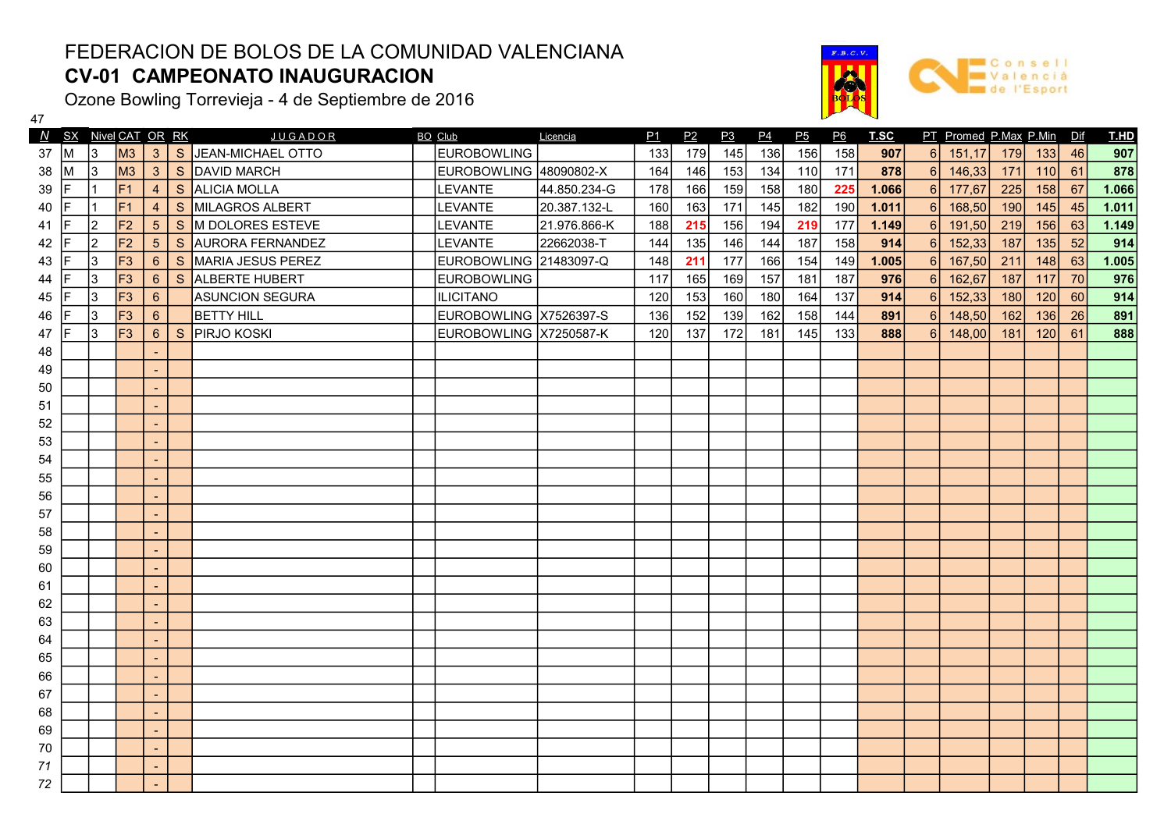## FEDERACION DE BOLOS DE LA COMUNIDAD VALENCIANA CV-01 CAMPEONATO INAUGURACION

Ozone Bowling Torrevieja - 4 de Septiembre de 2016

47

72

48 | | | | | | 49 | | | | | -50 | | | | | | 51 | | | | | 52 | | | | |



 $F.B.C.$ 

**Consel W** Valencia

| 53 |  | $\sim$ |  |  |  |  |  |  |  |  |  |  |
|----|--|--------|--|--|--|--|--|--|--|--|--|--|
| 54 |  | $\sim$ |  |  |  |  |  |  |  |  |  |  |
| 55 |  | $\sim$ |  |  |  |  |  |  |  |  |  |  |
| 56 |  | $\sim$ |  |  |  |  |  |  |  |  |  |  |
| 57 |  | $\sim$ |  |  |  |  |  |  |  |  |  |  |
| 58 |  | $\sim$ |  |  |  |  |  |  |  |  |  |  |
| 59 |  | $\sim$ |  |  |  |  |  |  |  |  |  |  |
| 60 |  | $\sim$ |  |  |  |  |  |  |  |  |  |  |
| 61 |  | $\sim$ |  |  |  |  |  |  |  |  |  |  |
| 62 |  | $\sim$ |  |  |  |  |  |  |  |  |  |  |
| 63 |  | $\sim$ |  |  |  |  |  |  |  |  |  |  |
| 64 |  | $\sim$ |  |  |  |  |  |  |  |  |  |  |
| 65 |  | $\sim$ |  |  |  |  |  |  |  |  |  |  |
| 66 |  | $\sim$ |  |  |  |  |  |  |  |  |  |  |
| 67 |  | $\sim$ |  |  |  |  |  |  |  |  |  |  |
| 68 |  | $\sim$ |  |  |  |  |  |  |  |  |  |  |
| 69 |  | $\sim$ |  |  |  |  |  |  |  |  |  |  |
| 70 |  | $\sim$ |  |  |  |  |  |  |  |  |  |  |
| 71 |  | $\sim$ |  |  |  |  |  |  |  |  |  |  |